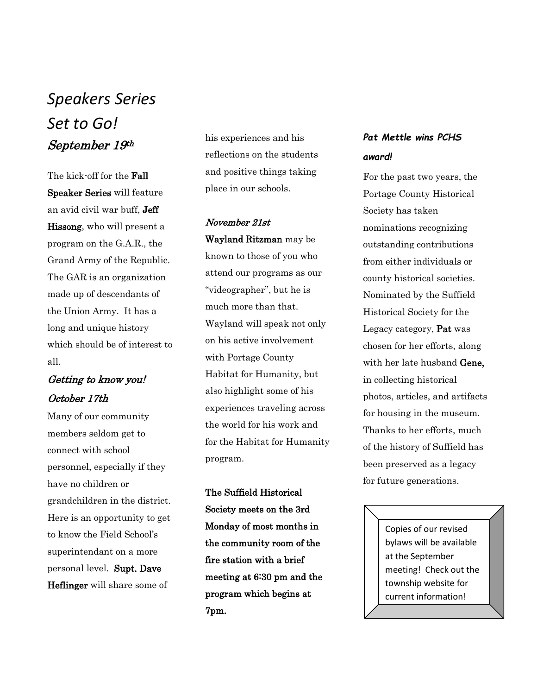# *Speakers Series Set to Go!* September 19th

The kick-off for the Fall Speaker Series will feature an avid civil war buff, Jeff Hissong, who will present a program on the G.A.R., the Grand Army of the Republic. The GAR is an organization made up of descendants of the Union Army. It has a long and unique history which should be of interest to all.

## Getting to know you! October 17th

Many of our community members seldom get to connect with school personnel, especially if they have no children or grandchildren in the district. Here is an opportunity to get to know the Field School's superintendant on a more personal level. Supt. Dave Heflinger will share some of

his experiences and his reflections on the students and positive things taking place in our schools.

## November 21st Wayland Ritzman may be

known to those of you who attend our programs as our "videographer", but he is much more than that. Wayland will speak not only on his active involvement with Portage County Habitat for Humanity, but also highlight some of his experiences traveling across the world for his work and for the Habitat for Humanity program.

The Suffield Historical Society meets on the 3rd Monday of most months in the community room of the fire station with a brief meeting at 6:30 pm and the program which begins at 7pm.

## *Pat Mettle wins PCHS award!*

For the past two years, the Portage County Historical Society has taken nominations recognizing outstanding contributions from either individuals or county historical societies. Nominated by the Suffield Historical Society for the Legacy category, Pat was chosen for her efforts, along with her late husband Gene, in collecting historical photos, articles, and artifacts for housing in the museum. Thanks to her efforts, much of the history of Suffield has been preserved as a legacy for future generations.

> Copies of our revised bylaws will be available at the September meeting! Check out the township website for current information!

I I I I I I ľ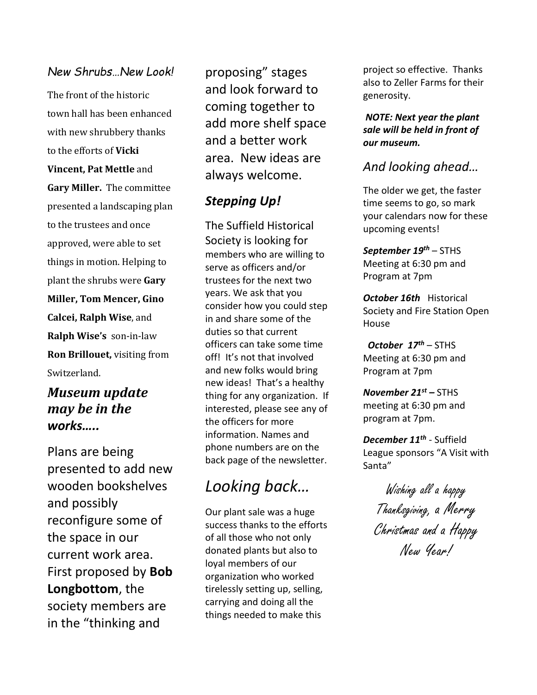### *New Shrubs…New Look!*

The front of the historic town hall has been enhanced with new shrubbery thanks to the efforts of **Vicki Vincent, Pat Mettle** and **Gary Miller.** The committee presented a landscaping plan to the trustees and once approved, were able to set things in motion. Helping to plant the shrubs were **Gary Miller, Tom Mencer, Gino Calcei, Ralph Wise**, and **Ralph Wise's** son-in-law **Ron Brillouet,** visiting from Switzerland.

## *Museum update may be in the works…..*

Plans are being presented to add new wooden bookshelves and possibly reconfigure some of the space in our current work area. First proposed by **Bob Longbottom**, the society members are in the "thinking and

proposing" stages and look forward to coming together to add more shelf space and a better work area. New ideas are always welcome.

## *Stepping Up!*

The Suffield Historical Society is looking for members who are willing to serve as officers and/or trustees for the next two years. We ask that you consider how you could step in and share some of the duties so that current officers can take some time off! It's not that involved and new folks would bring new ideas! That's a healthy thing for any organization. If interested, please see any of the officers for more information. Names and phone numbers are on the back page of the newsletter.

# *Looking back…*

Our plant sale was a huge success thanks to the efforts of all those who not only donated plants but also to loyal members of our organization who worked tirelessly setting up, selling, carrying and doing all the things needed to make this

project so effective. Thanks also to Zeller Farms for their generosity.

*NOTE: Next year the plant sale will be held in front of our museum.* 

## *And looking ahead…*

The older we get, the faster time seems to go, so mark your calendars now for these upcoming events!

*September 19th* – STHS Meeting at 6:30 pm and Program at 7pm

*October 16th* Historical Society and Fire Station Open House

*October 17th* – STHS Meeting at 6:30 pm and Program at 7pm

*November 21st –* STHS meeting at 6:30 pm and program at 7pm.

*December 11th* - Suffield League sponsors "A Visit with Santa"

Wishing all a happy Thanksgiving, a Merry Christmas and a Happy New Year!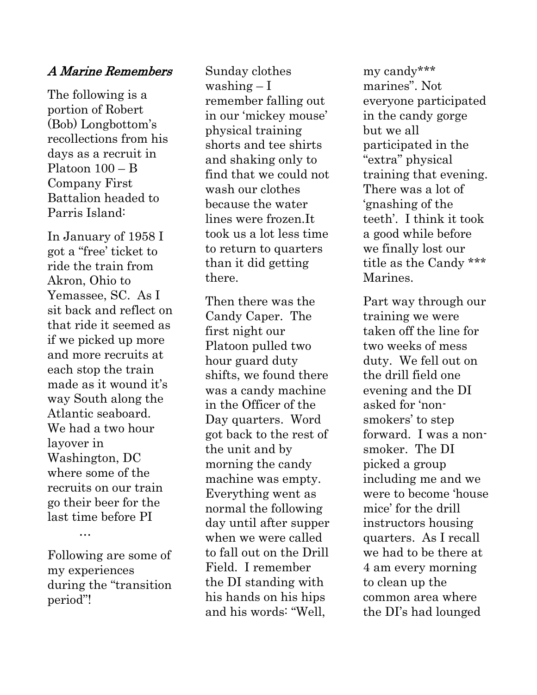### A Marine Remembers

The following is a portion of Robert (Bob) Longbottom's recollections from his days as a recruit in Platoon 100 – B Company First Battalion headed to Parris Island:

In January of 1958 I got a "free' ticket to ride the train from Akron, Ohio to Yemassee, SC. As I sit back and reflect on that ride it seemed as if we picked up more and more recruits at each stop the train made as it wound it's way South along the Atlantic seaboard. We had a two hour layover in Washington, DC where some of the recruits on our train go their beer for the last time before PI

Following are some of my experiences during the "transition period"!

…

Sunday clothes washing – I remember falling out in our 'mickey mouse' physical training shorts and tee shirts and shaking only to find that we could not wash our clothes because the water lines were frozen.It took us a lot less time to return to quarters than it did getting there.

Then there was the Candy Caper. The first night our Platoon pulled two hour guard duty shifts, we found there was a candy machine in the Officer of the Day quarters. Word got back to the rest of the unit and by morning the candy machine was empty. Everything went as normal the following day until after supper when we were called to fall out on the Drill Field. I remember the DI standing with his hands on his hips and his words: "Well,

my candy\*\*\* marines". Not everyone participated in the candy gorge but we all participated in the "extra" physical training that evening. There was a lot of 'gnashing of the teeth'. I think it took a good while before we finally lost our title as the Candy \*\*\* Marines.

Part way through our training we were taken off the line for two weeks of mess duty. We fell out on the drill field one evening and the DI asked for 'nonsmokers' to step forward. I was a nonsmoker. The DI picked a group including me and we were to become 'house mice' for the drill instructors housing quarters. As I recall we had to be there at 4 am every morning to clean up the common area where the DI's had lounged